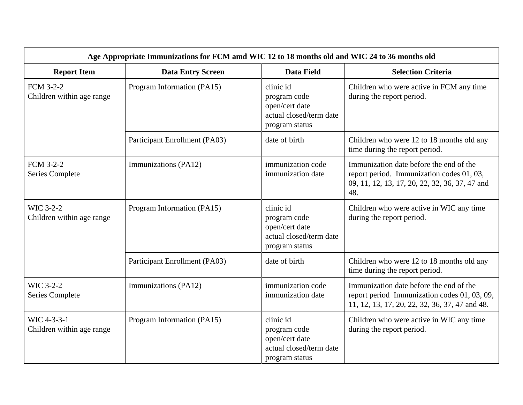| Age Appropriate Immunizations for FCM amd WIC 12 to 18 months old and WIC 24 to 36 months old |                               |                                                                                          |                                                                                                                                               |  |  |
|-----------------------------------------------------------------------------------------------|-------------------------------|------------------------------------------------------------------------------------------|-----------------------------------------------------------------------------------------------------------------------------------------------|--|--|
| <b>Report Item</b>                                                                            | <b>Data Entry Screen</b>      | <b>Data Field</b>                                                                        | <b>Selection Criteria</b>                                                                                                                     |  |  |
| FCM 3-2-2<br>Children within age range                                                        | Program Information (PA15)    | clinic id<br>program code<br>open/cert date<br>actual closed/term date<br>program status | Children who were active in FCM any time<br>during the report period.                                                                         |  |  |
|                                                                                               | Participant Enrollment (PA03) | date of birth                                                                            | Children who were 12 to 18 months old any<br>time during the report period.                                                                   |  |  |
| <b>FCM 3-2-2</b><br><b>Series Complete</b>                                                    | Immunizations (PA12)          | immunization code<br>immunization date                                                   | Immunization date before the end of the<br>report period. Immunization codes 01, 03,<br>09, 11, 12, 13, 17, 20, 22, 32, 36, 37, 47 and<br>48. |  |  |
| WIC 3-2-2<br>Children within age range                                                        | Program Information (PA15)    | clinic id<br>program code<br>open/cert date<br>actual closed/term date<br>program status | Children who were active in WIC any time<br>during the report period.                                                                         |  |  |
|                                                                                               | Participant Enrollment (PA03) | date of birth                                                                            | Children who were 12 to 18 months old any<br>time during the report period.                                                                   |  |  |
| WIC 3-2-2<br><b>Series Complete</b>                                                           | Immunizations (PA12)          | immunization code<br>immunization date                                                   | Immunization date before the end of the<br>report period Immunization codes 01, 03, 09,<br>11, 12, 13, 17, 20, 22, 32, 36, 37, 47 and 48.     |  |  |
| WIC 4-3-3-1<br>Children within age range                                                      | Program Information (PA15)    | clinic id<br>program code<br>open/cert date<br>actual closed/term date<br>program status | Children who were active in WIC any time<br>during the report period.                                                                         |  |  |